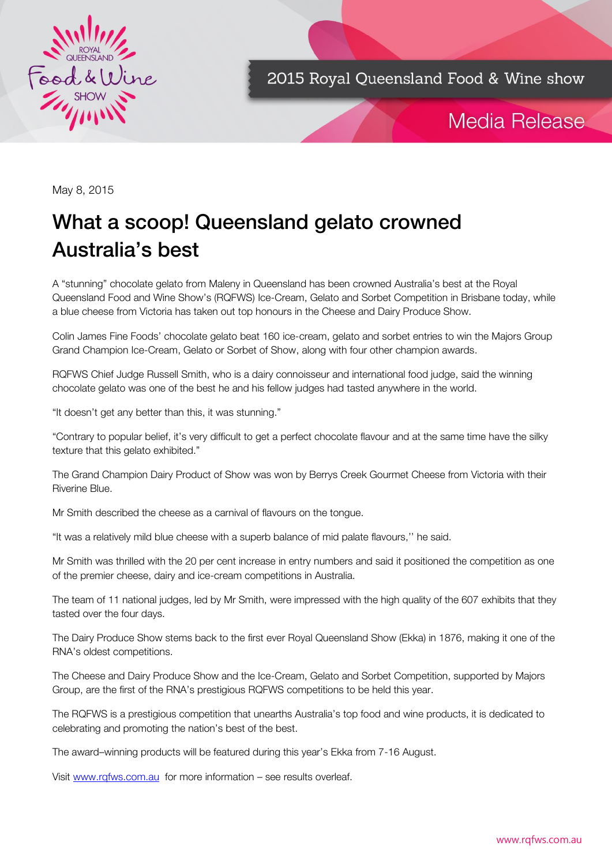

2015 Royal Queensland Food & Wine show

# Media Release

May 8, 2015

# What a scoop! Queensland gelato crowned<br>Australia's best Australia's best

A "stunning" chocolate gelato from Maleny in Queensland has been crowned Australia's best at the Royal Queensland Food and Wine Show's (RQFWS) Ice-Cream, Gelato and Sorbet Competition in Brisbane today, while a blue cheese from Victoria has taken out top honours in the Cheese and Dairy Produce Show.

Colin James Fine Foods' chocolate gelato beat 160 ice-cream, gelato and sorbet entries to win the Majors Group Grand Champion Ice-Cream, Gelato or Sorbet of Show, along with four other champion awards.

RQFWS Chief Judge Russell Smith, who is a dairy connoisseur and international food judge, said the winning chocolate gelato was one of the best he and his fellow judges had tasted anywhere in the world.

"It doesn't get any better than this, it was stunning."

"Contrary to popular belief, it's very difficult to get a perfect chocolate flavour and at the same time have the silky texture that this gelato exhibited."

The Grand Champion Dairy Product of Show was won by Berrys Creek Gourmet Cheese from Victoria with their Riverine Blue.

Mr Smith described the cheese as a carnival of flavours on the tongue.

"It was a relatively mild blue cheese with a superb balance of mid palate flavours,'' he said.

Mr Smith was thrilled with the 20 per cent increase in entry numbers and said it positioned the competition as one of the premier cheese, dairy and ice-cream competitions in Australia.

The team of 11 national judges, led by Mr Smith, were impressed with the high quality of the 607 exhibits that they tasted over the four days.

The Dairy Produce Show stems back to the first ever Royal Queensland Show (Ekka) in 1876, making it one of the RNA's oldest competitions.

The Cheese and Dairy Produce Show and the Ice-Cream, Gelato and Sorbet Competition, supported by Majors Group, are the first of the RNA's prestigious RQFWS competitions to be held this year.

The RQFWS is a prestigious competition that unearths Australia's top food and wine products, it is dedicated to celebrating and promoting the nation's best of the best.

The award–winning products will be featured during this year's Ekka from 7-16 August.

Visit [www.rqfws.com.au](http://www.rqfws.com.au/) for more information – see results overleaf.